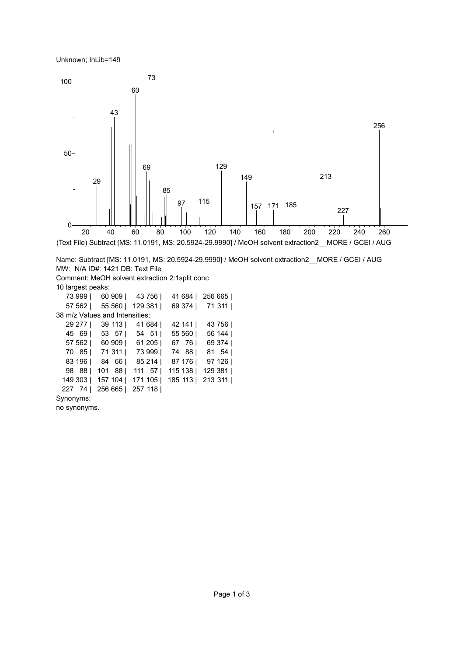Unknown; InLib=149



MW: N/A ID#: 1421 DB: Text File Comment: MeOH solvent extraction 2:1split conc 10 largest peaks: 999 | 60 909 | 43 756 | 41 684 | 256 665 | 562 | 55 560 | 129 381 | 69 374 | 71 311 | 38 m/z Values and Intensities: 277 | 39 113 | 41 684 | 42 141 | 43 756 | 69 | 53 57 | 54 51 | 55 560 | 56 144 | 562 | 60 909 | 61 205 | 67 76 | 69 374 | 85 | 71 311 | 73 999 | 74 88 | 81 54 | 196 | 84 66 | 85 214 | 87 176 | 97 126 | 88 | 101 88 | 111 57 | 115 138 | 129 381 | 303 | 157 104 | 171 105 | 185 113 | 213 311 | 74 | 256 665 | 257 118 |

Synonyms:

no synonyms.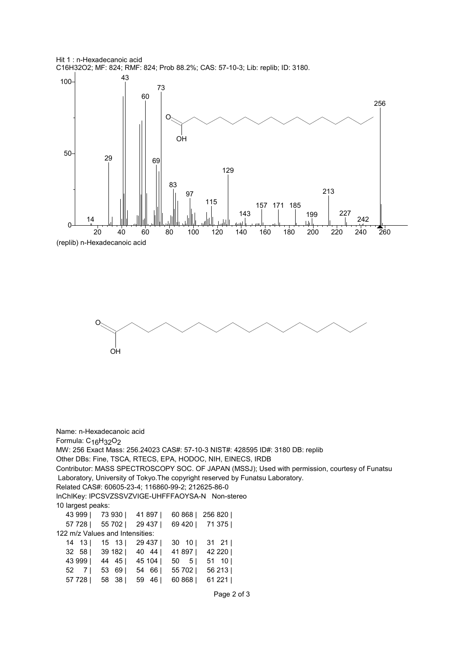





Name: n-Hexadecanoic acid Formula: C<sub>16</sub>H<sub>32</sub>O<sub>2</sub> MW: 256 Exact Mass: 256.24023 CAS#: 57-10-3 NIST#: 428595 ID#: 3180 DB: replib Other DBs: Fine, TSCA, RTECS, EPA, HODOC, NIH, EINECS, IRDB Contributor: MASS SPECTROSCOPY SOC. OF JAPAN (MSSJ); Used with permission, courtesy of Funatsu Laboratory, University of Tokyo.The copyright reserved by Funatsu Laboratory. Related CAS#: 60605-23-4; 116860-99-2; 212625-86-0 InChIKey: IPCSVZSSVZVIGE-UHFFFAOYSA-N Non-stereo 10 largest peaks: 43 999 | 73 930 | 41 897 | 60 868 | 256 820 | 57 728 | 55 702 | 29 437 | 69 420 | 71 375 | 122 m/z Values and Intensities: 14 13 | 15 13 | 29 437 | 30 10 | 31 21 | 32 58 | 39 182 | 40 44 | 41 897 | 42 220 | 43 999 | 44 45 | 45 104 | 50 5 | 51 10 | 52 7 | 53 69 | 54 66 | 55 702 | 56 213 |

57 728 | 58 38 | 59 46 | 60 868 | 61 221 |